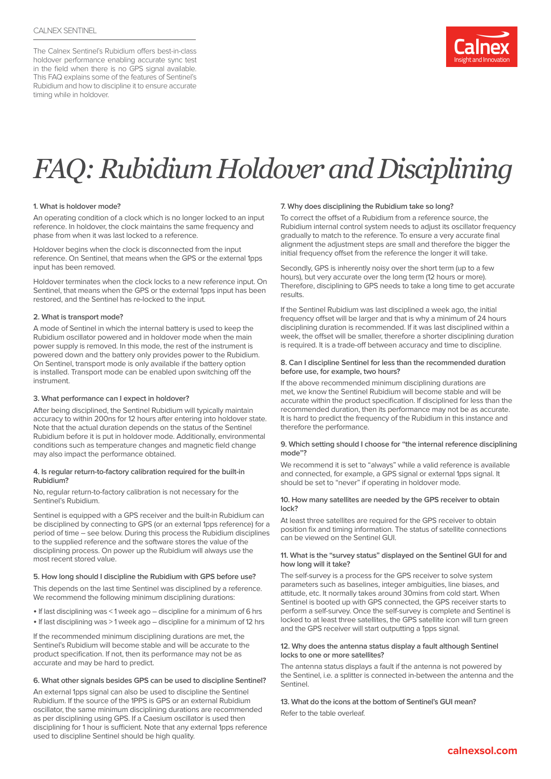The Calnex Sentinel's Rubidium offers best-in-class holdover performance enabling accurate sync test in the field when there is no GPS signal available. This FAQ explains some of the features of Sentinel's Rubidium and how to discipline it to ensure accurate timing while in holdover.



# *FAQ: Rubidium Holdover and Disciplining*

#### **1. What is holdover mode?**

An operating condition of a clock which is no longer locked to an input reference. In holdover, the clock maintains the same frequency and phase from when it was last locked to a reference.

Holdover begins when the clock is disconnected from the input reference. On Sentinel, that means when the GPS or the external 1pps input has been removed.

Holdover terminates when the clock locks to a new reference input. On Sentinel, that means when the GPS or the external 1pps input has been restored, and the Sentinel has re-locked to the input.

#### **2. What is transport mode?**

A mode of Sentinel in which the internal battery is used to keep the Rubidium oscillator powered and in holdover mode when the main power supply is removed. In this mode, the rest of the instrument is powered down and the battery only provides power to the Rubidium. On Sentinel, transport mode is only available if the battery option is installed. Transport mode can be enabled upon switching off the instrument.

#### **3. What performance can I expect in holdover?**

After being disciplined, the Sentinel Rubidium will typically maintain accuracy to within 200ns for 12 hours after entering into holdover state. Note that the actual duration depends on the status of the Sentinel Rubidium before it is put in holdover mode. Additionally, environmental conditions such as temperature changes and magnetic field change may also impact the performance obtained.

#### **4. Is regular return-to-factory calibration required for the built-in Rubidium?**

No, regular return-to-factory calibration is not necessary for the Sentinel's Rubidium.

Sentinel is equipped with a GPS receiver and the built-in Rubidium can be disciplined by connecting to GPS (or an external 1pps reference) for a period of time – see below. During this process the Rubidium disciplines to the supplied reference and the software stores the value of the disciplining process. On power up the Rubidium will always use the most recent stored value.

#### **5. How long should I discipline the Rubidium with GPS before use?**

This depends on the last time Sentinel was disciplined by a reference. We recommend the following minimum disciplining durations:

- If last disciplining was < 1 week ago discipline for a minimum of 6 hrs
- If last disciplining was > 1 week ago discipline for a minimum of 12 hrs

If the recommended minimum disciplining durations are met, the Sentinel's Rubidium will become stable and will be accurate to the product specification. If not, then its performance may not be as accurate and may be hard to predict.

#### **6. What other signals besides GPS can be used to discipline Sentinel?**

An external 1pps signal can also be used to discipline the Sentinel Rubidium. If the source of the 1PPS is GPS or an external Rubidium oscillator, the same minimum disciplining durations are recommended as per disciplining using GPS. If a Caesium oscillator is used then disciplining for 1 hour is sufficient. Note that any external 1pps reference used to discipline Sentinel should be high quality.

#### **7. Why does disciplining the Rubidium take so long?**

To correct the offset of a Rubidium from a reference source, the Rubidium internal control system needs to adjust its oscillator frequency gradually to match to the reference. To ensure a very accurate final alignment the adjustment steps are small and therefore the bigger the initial frequency offset from the reference the longer it will take.

Secondly, GPS is inherently noisy over the short term (up to a few hours), but very accurate over the long term (12 hours or more). Therefore, disciplining to GPS needs to take a long time to get accurate results.

If the Sentinel Rubidium was last disciplined a week ago, the initial frequency offset will be larger and that is why a minimum of 24 hours disciplining duration is recommended. If it was last disciplined within a week, the offset will be smaller, therefore a shorter disciplining duration is required. It is a trade-off between accuracy and time to discipline.

#### **8. Can I discipline Sentinel for less than the recommended duration before use, for example, two hours?**

If the above recommended minimum disciplining durations are met, we know the Sentinel Rubidium will become stable and will be accurate within the product specification. If disciplined for less than the recommended duration, then its performance may not be as accurate. It is hard to predict the frequency of the Rubidium in this instance and therefore the performance.

#### **9. Which setting should I choose for "the internal reference disciplining mode"?**

We recommend it is set to "always" while a valid reference is available and connected, for example, a GPS signal or external 1pps signal. It should be set to "never" if operating in holdover mode.

#### **10. How many satellites are needed by the GPS receiver to obtain lock?**

At least three satellites are required for the GPS receiver to obtain position fix and timing information. The status of satellite connections can be viewed on the Sentinel GUI.

#### **11. What is the "survey status" displayed on the Sentinel GUI for and how long will it take?**

The self-survey is a process for the GPS receiver to solve system parameters such as baselines, integer ambiguities, line biases, and attitude, etc. It normally takes around 30mins from cold start. When Sentinel is booted up with GPS connected, the GPS receiver starts to perform a self-survey. Once the self-survey is complete and Sentinel is locked to at least three satellites, the GPS satellite icon will turn green and the GPS receiver will start outputting a 1pps signal.

#### **12. Why does the antenna status display a fault although Sentinel locks to one or more satellites?**

The antenna status displays a fault if the antenna is not powered by the Sentinel, i.e. a splitter is connected in-between the antenna and the Sentinel.

## **13. What do the icons at the bottom of Sentinel's GUI mean?**

Refer to the table overleaf.